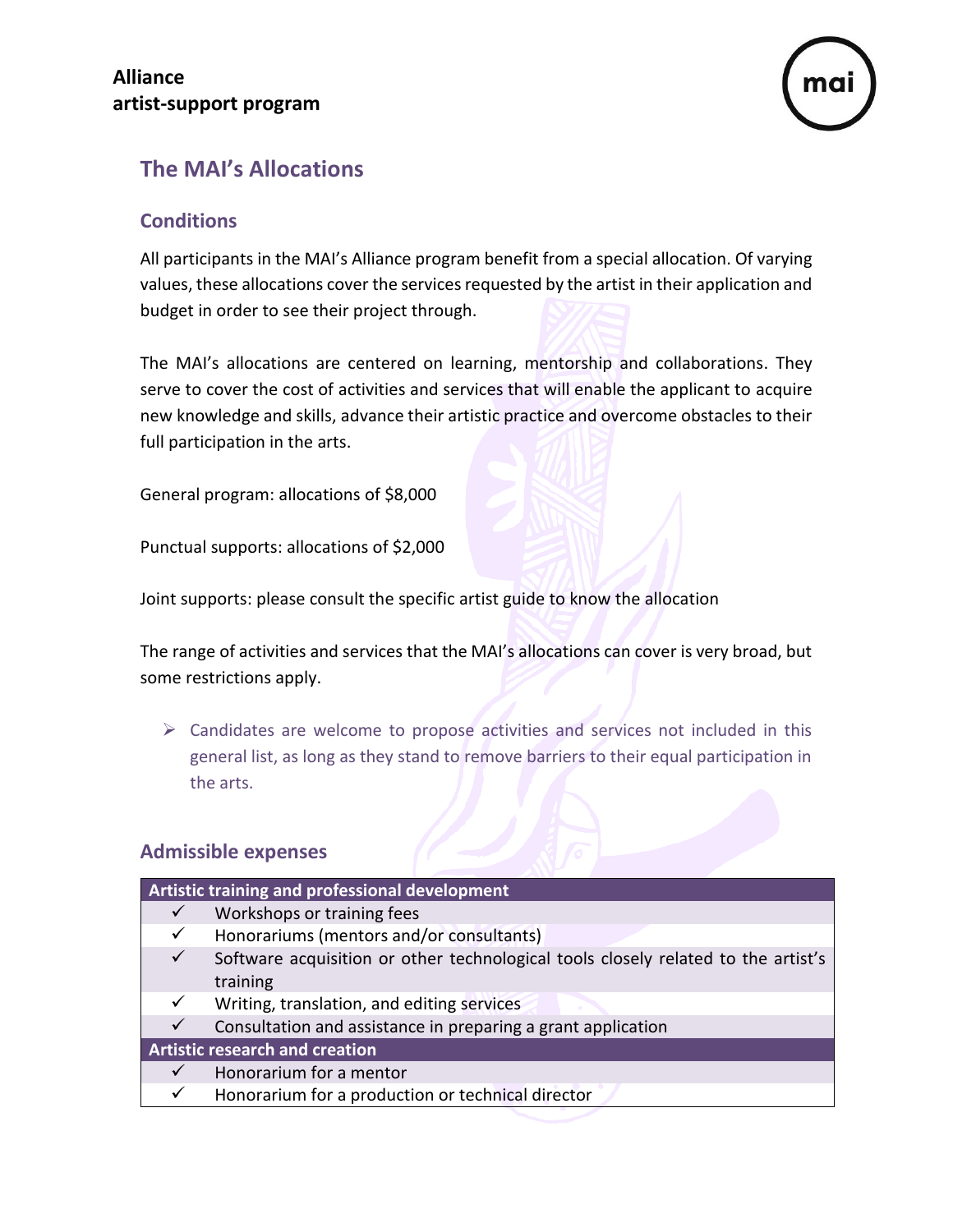

## **The MAI's Allocations**

## **Conditions**

All participants in the MAI's Alliance program benefit from a special allocation. Of varying values, these allocations cover the services requested by the artist in their application and budget in order to see their project through.

The MAI's allocations are centered on learning, mentorship and collaborations. They serve to cover the cost of activities and services that will enable the applicant to acquire new knowledge and skills, advance their artistic practice and overcome obstacles to their full participation in the arts.

General program: allocations of \$8,000

Punctual supports: allocations of \$2,000

Joint supports: please consult the specific artist guide to know the allocation

The range of activities and services that the MAI's allocations can cover is very broad, but some restrictions apply.

 $\triangleright$  Candidates are welcome to propose activities and services not included in this general list, as long as they stand to remove barriers to their equal participation in the arts.

## **Admissible expenses**

| Artistic training and professional development |                                                                                   |  |
|------------------------------------------------|-----------------------------------------------------------------------------------|--|
| $\checkmark$                                   | Workshops or training fees                                                        |  |
| ✓                                              | Honorariums (mentors and/or consultants)                                          |  |
| $\checkmark$                                   | Software acquisition or other technological tools closely related to the artist's |  |
|                                                | training                                                                          |  |
| $\checkmark$                                   | Writing, translation, and editing services                                        |  |
| $\checkmark$                                   | Consultation and assistance in preparing a grant application                      |  |
| <b>Artistic research and creation</b>          |                                                                                   |  |
| $\checkmark$                                   | Honorarium for a mentor                                                           |  |
| ✓                                              | Honorarium for a production or technical director                                 |  |